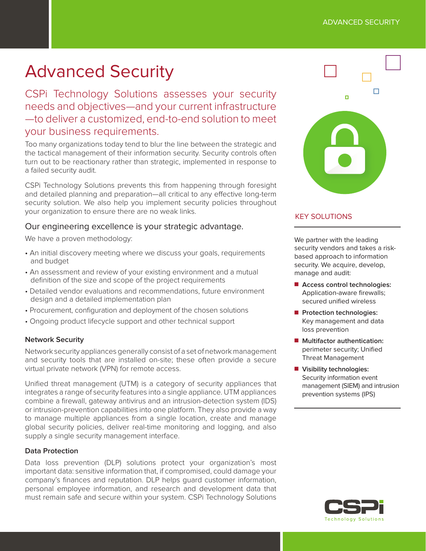## ADVANCED SECURITY

# Advanced Security

CSPi Technology Solutions assesses your security needs and objectives—and your current infrastructure —to deliver a customized, end-to-end solution to meet your business requirements.

Too many organizations today tend to blur the line between the strategic and the tactical management of their information security. Security controls often turn out to be reactionary rather than strategic, implemented in response to a failed security audit.

CSPi Technology Solutions prevents this from happening through foresight and detailed planning and preparation—all critical to any efective long-term security solution. We also help you implement security policies throughout your organization to ensure there are no weak links.

# Our engineering excellence is your strategic advantage.

We have a proven methodology:

- An initial discovery meeting where we discuss your goals, requirements and budget
- An assessment and review of your existing environment and a mutual definition of the size and scope of the project requirements
- Detailed vendor evaluations and recommendations, future environment design and a detailed implementation plan
- Procurement, configuration and deployment of the chosen solutions
- Ongoing product lifecycle support and other technical support

## **Network Security**

Network security appliances generally consist of a set of network management and security tools that are installed on-site; these often provide a secure virtual private network (VPN) for remote access.

Unified threat management (UTM) is a category of security appliances that integrates a range of security features into a single appliance. UTM appliances combine a firewall, gateway antivirus and an intrusion-detection system (IDS) or intrusion-prevention capabilities into one platform. They also provide a way to manage multiple appliances from a single location, create and manage global security policies, deliver real-time monitoring and logging, and also supply a single security management interface.

#### **Data Protection**

Data loss prevention (DLP) solutions protect your organization's most important data: sensitive information that, if compromised, could damage your company's finances and reputation. DLP helps guard customer information, personal employee information, and research and development data that must remain safe and secure within your system. CSPi Technology Solutions



# KEY SOLUTIONS

We partner with the leading security vendors and takes a riskbased approach to information security. We acquire, develop, manage and audit:

- Access control technologies: Application-aware firewalls; secured unified wireless
- **n** Protection technologies: Key management and data loss prevention
- **n** Multifactor authentication: perimeter security; Unified Threat Management
- **N** Visibility technologies: Security information event management (SIEM) and intrusion prevention systems (IPS)